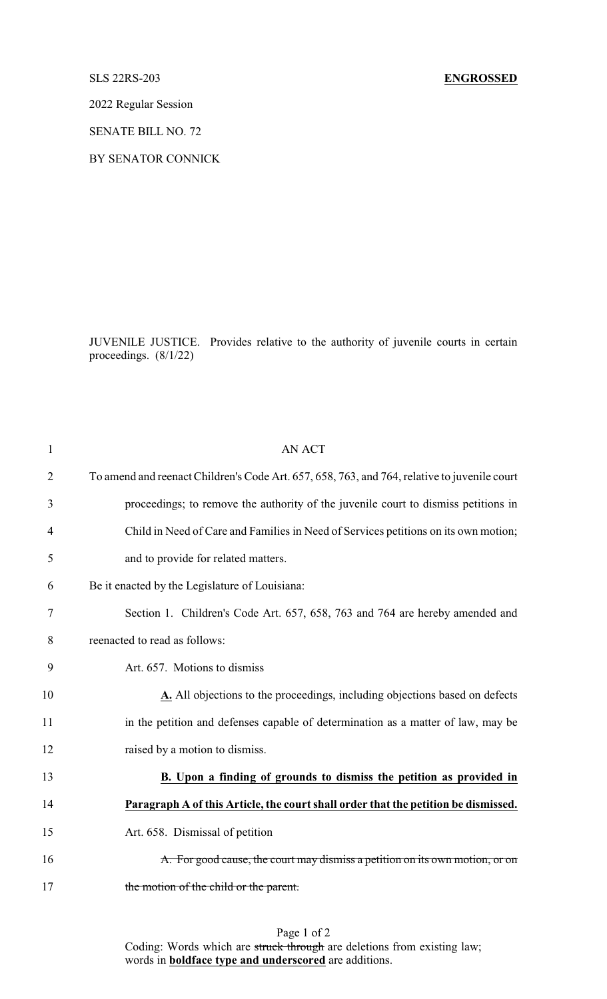## SLS 22RS-203 **ENGROSSED**

2022 Regular Session

SENATE BILL NO. 72

BY SENATOR CONNICK

JUVENILE JUSTICE. Provides relative to the authority of juvenile courts in certain proceedings. (8/1/22)

| $\mathbf{1}$   | <b>AN ACT</b>                                                                                |
|----------------|----------------------------------------------------------------------------------------------|
| $\overline{2}$ | To amend and reenact Children's Code Art. 657, 658, 763, and 764, relative to juvenile court |
| 3              | proceedings; to remove the authority of the juvenile court to dismiss petitions in           |
| 4              | Child in Need of Care and Families in Need of Services petitions on its own motion;          |
| 5              | and to provide for related matters.                                                          |
| 6              | Be it enacted by the Legislature of Louisiana:                                               |
| 7              | Section 1. Children's Code Art. 657, 658, 763 and 764 are hereby amended and                 |
| 8              | reenacted to read as follows:                                                                |
| 9              | Art. 657. Motions to dismiss                                                                 |
| 10             | A. All objections to the proceedings, including objections based on defects                  |
| 11             | in the petition and defenses capable of determination as a matter of law, may be             |
| 12             | raised by a motion to dismiss.                                                               |
| 13             | B. Upon a finding of grounds to dismiss the petition as provided in                          |
| 14             | Paragraph A of this Article, the court shall order that the petition be dismissed.           |
| 15             | Art. 658. Dismissal of petition                                                              |
| 16             | A. For good cause, the court may dismiss a petition on its own motion, or on                 |
| 17             | the motion of the child or the parent.                                                       |
|                |                                                                                              |

## Page 1 of 2 Coding: Words which are struck through are deletions from existing law; words in **boldface type and underscored** are additions.